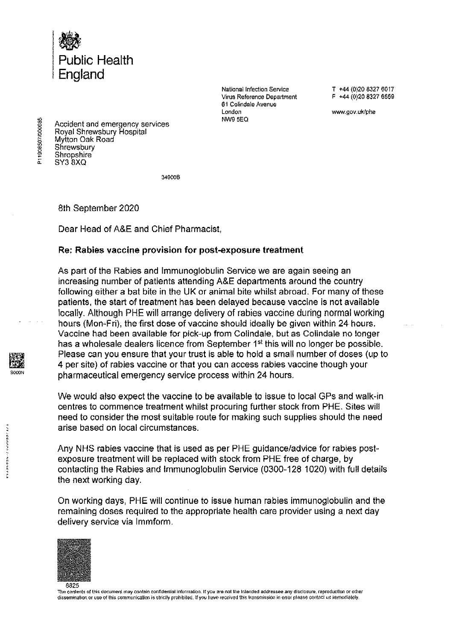

**National Infection Service Virus Reference Department**  61 Collodale Avenue **London**  NW9 5EQ

T +44 (0)20 8327 6017 F +44 (0)20 8327 6559

**www.gov.uk/phe** 

Accident and emergency services Royal Shrewsbury Hospital Mytton Oak Road **Shrewsbury Shropshire** SY3 8XQ

349006

8th September 2020

Dear Head of A&E and Chief Pharmacist,

## **Re; Rabies vaccine provision for post-exposure treatment**

As part of the Rabies and lmmunoglobulin Service we are again seeing an increasing number of patients attending A&E departments around the country following either a bat bite in the UK or animal bite whilst abroad. For many of these patients, the start of treatment has been delayed because vaccine is not available locally. Although PHE will arrange delivery of rabies vaccine during normal working hours (Mon~Fri), the first dose of vaccine should ideally be given within 24 hours. Vaccine had been available for pick-up from Colindale, but as Colindale no longer has a wholesale dealers licence from September 1<sup>st</sup> this will no longer be possible. Please can you ensure that your trust is able to hold a small number of doses (up to 4 per site) of rabies vaccine or that you can access rabies vaccine though your pharmaceutical emergency service process within 24 hours.

We would also expect the vaccine to be available to issue to local GPs and walk-in centres to commence treatment whilst procuring further stock from PHE. Sites will need to consider the most suitable route for making such supplies should the need arise based on local circumstances.

Any NHS rabies vaccine that is used as per PHE guidance/advice for rabies postexposure treatment will be replaced with stock from PHE free of charge, by contacting the Rabies and lmmunoglobulin Service (0300-128 1020) with full details the next working day.

On working days, PHE will continue to issue human rabies immunoglobulin and the remaining doses required to the appropriate health care provider using a next day delivery service via lmmform.



The contents of this document may contain confidential information. If you are not the Intended addressee any disclosure, reproduction or other dissemination or use of this communication is strictly prohibited. If you have received this transmission in error please contact us immediately,

20000102050110